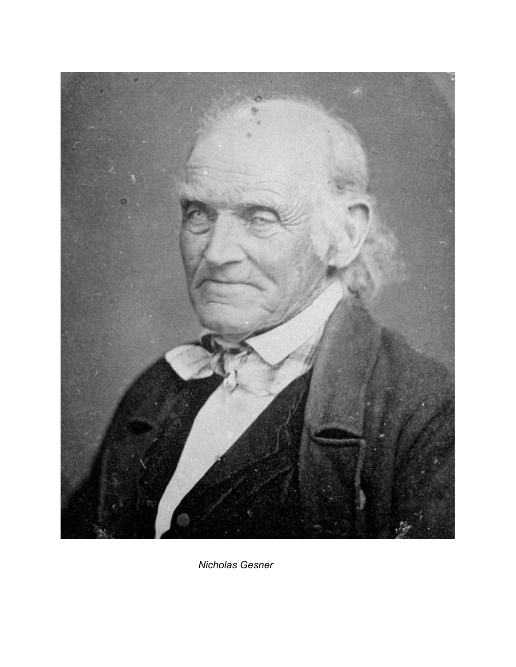

 *Nicholas Gesner*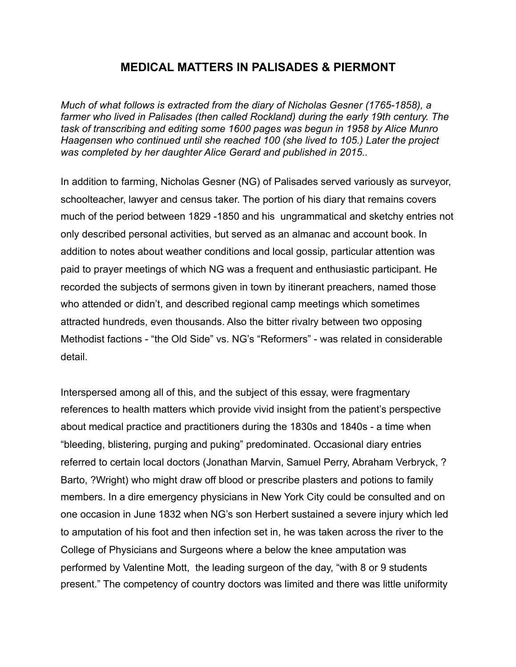# **MEDICAL MATTERS IN PALISADES & PIERMONT**

*Much of what follows is extracted from the diary of Nicholas Gesner (1765-1858), a farmer who lived in Palisades (then called Rockland) during the early 19th century. The task of transcribing and editing some 1600 pages was begun in 1958 by Alice Munro Haagensen who continued until she reached 100 (she lived to 105.) Later the project was completed by her daughter Alice Gerard and published in 2015..* 

In addition to farming, Nicholas Gesner (NG) of Palisades served variously as surveyor, schoolteacher, lawyer and census taker. The portion of his diary that remains covers much of the period between 1829 -1850 and his ungrammatical and sketchy entries not only described personal activities, but served as an almanac and account book. In addition to notes about weather conditions and local gossip, particular attention was paid to prayer meetings of which NG was a frequent and enthusiastic participant. He recorded the subjects of sermons given in town by itinerant preachers, named those who attended or didn't, and described regional camp meetings which sometimes attracted hundreds, even thousands. Also the bitter rivalry between two opposing Methodist factions - "the Old Side" vs. NG's "Reformers" - was related in considerable detail.

Interspersed among all of this, and the subject of this essay, were fragmentary references to health matters which provide vivid insight from the patient's perspective about medical practice and practitioners during the 1830s and 1840s - a time when "bleeding, blistering, purging and puking" predominated. Occasional diary entries referred to certain local doctors (Jonathan Marvin, Samuel Perry, Abraham Verbryck, ? Barto, ?Wright) who might draw off blood or prescribe plasters and potions to family members. In a dire emergency physicians in New York City could be consulted and on one occasion in June 1832 when NG's son Herbert sustained a severe injury which led to amputation of his foot and then infection set in, he was taken across the river to the College of Physicians and Surgeons where a below the knee amputation was performed by Valentine Mott, the leading surgeon of the day, "with 8 or 9 students present." The competency of country doctors was limited and there was little uniformity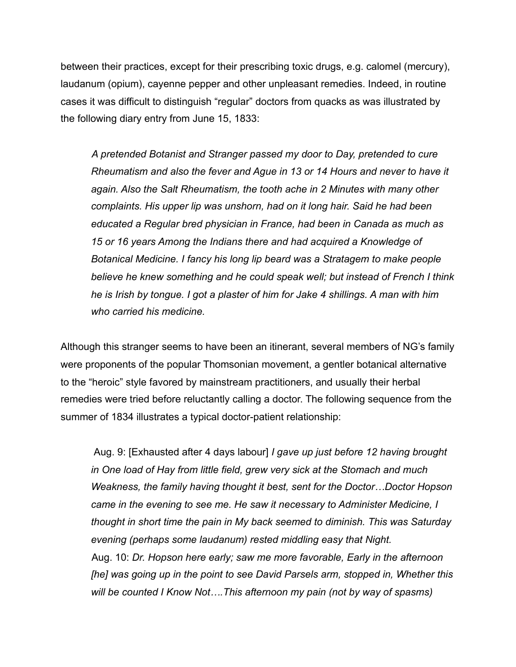between their practices, except for their prescribing toxic drugs, e.g. calomel (mercury), laudanum (opium), cayenne pepper and other unpleasant remedies. Indeed, in routine cases it was difficult to distinguish "regular" doctors from quacks as was illustrated by the following diary entry from June 15, 1833:

 *A pretended Botanist and Stranger passed my door to Day, pretended to cure Rheumatism and also the fever and Ague in 13 or 14 Hours and never to have it again. Also the Salt Rheumatism, the tooth ache in 2 Minutes with many other complaints. His upper lip was unshorn, had on it long hair. Said he had been educated a Regular bred physician in France, had been in Canada as much as 15 or 16 years Among the Indians there and had acquired a Knowledge of Botanical Medicine. I fancy his long lip beard was a Stratagem to make people believe he knew something and he could speak well; but instead of French I think he is Irish by tongue. I got a plaster of him for Jake 4 shillings. A man with him who carried his medicine.*

Although this stranger seems to have been an itinerant, several members of NG's family were proponents of the popular Thomsonian movement, a gentler botanical alternative to the "heroic" style favored by mainstream practitioners, and usually their herbal remedies were tried before reluctantly calling a doctor. The following sequence from the summer of 1834 illustrates a typical doctor-patient relationship:

 Aug. 9: [Exhausted after 4 days labour] *I gave up just before 12 having brought in One load of Hay from little field, grew very sick at the Stomach and much Weakness, the family having thought it best, sent for the Doctor…Doctor Hopson came in the evening to see me. He saw it necessary to Administer Medicine, I thought in short time the pain in My back seemed to diminish. This was Saturday evening (perhaps some laudanum) rested middling easy that Night.* Aug. 10: *Dr. Hopson here early; saw me more favorable, Early in the afternoon [he] was going up in the point to see David Parsels arm, stopped in, Whether this will be counted I Know Not….This afternoon my pain (not by way of spasms)*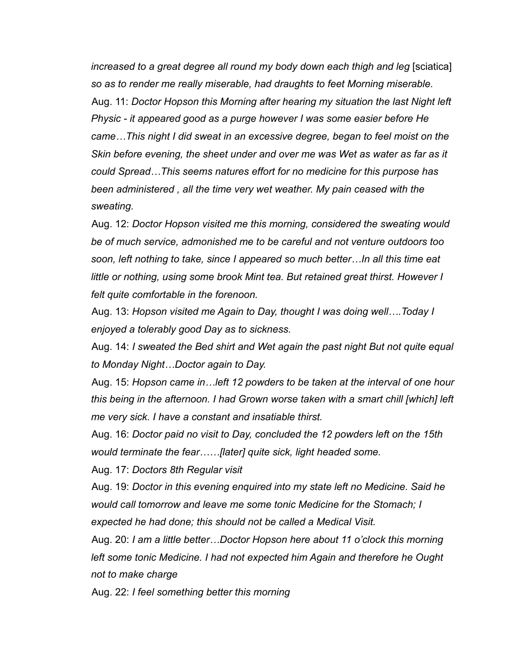*increased to a great degree all round my body down each thigh and leg* [sciatica] *so as to render me really miserable, had draughts to feet Morning miserable.* Aug. 11: *Doctor Hopson this Morning after hearing my situation the last Night left Physic - it appeared good as a purge however I was some easier before He came…This night I did sweat in an excessive degree, began to feel moist on the Skin before evening, the sheet under and over me was Wet as water as far as it could Spread…This seems natures effort for no medicine for this purpose has been administered , all the time very wet weather. My pain ceased with the sweating.* 

Aug. 12: *Doctor Hopson visited me this morning, considered the sweating would be of much service, admonished me to be careful and not venture outdoors too soon, left nothing to take, since I appeared so much better…In all this time eat little or nothing, using some brook Mint tea. But retained great thirst. However I felt quite comfortable in the forenoon.* 

Aug. 13: *Hopson visited me Again to Day, thought I was doing well….Today I enjoyed a tolerably good Day as to sickness.* 

Aug. 14: *I sweated the Bed shirt and Wet again the past night But not quite equal to Monday Night…Doctor again to Day.* 

Aug. 15: *Hopson came in…left 12 powders to be taken at the interval of one hour this being in the afternoon. I had Grown worse taken with a smart chill [which] left me very sick. I have a constant and insatiable thirst.* 

Aug. 16: *Doctor paid no visit to Day, concluded the 12 powders left on the 15th would terminate the fear……[later] quite sick, light headed some.* 

Aug. 17: *Doctors 8th Regular visit* 

Aug. 19: *Doctor in this evening enquired into my state left no Medicine. Said he would call tomorrow and leave me some tonic Medicine for the Stomach; I expected he had done; this should not be called a Medical Visit.* 

Aug. 20: *I am a little better…Doctor Hopson here about 11 o'clock this morning left some tonic Medicine. I had not expected him Again and therefore he Ought not to make charge* 

Aug. 22: *I feel something better this morning*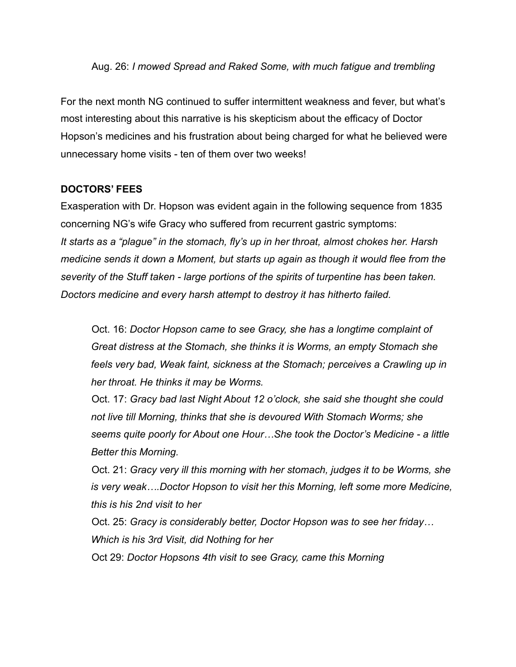### Aug. 26: *I mowed Spread and Raked Some, with much fatigue and trembling*

For the next month NG continued to suffer intermittent weakness and fever, but what's most interesting about this narrative is his skepticism about the efficacy of Doctor Hopson's medicines and his frustration about being charged for what he believed were unnecessary home visits - ten of them over two weeks!

## **DOCTORS' FEES**

Exasperation with Dr. Hopson was evident again in the following sequence from 1835 concerning NG's wife Gracy who suffered from recurrent gastric symptoms: *It starts as a "plague" in the stomach, fly's up in her throat, almost chokes her. Harsh medicine sends it down a Moment, but starts up again as though it would flee from the severity of the Stuff taken - large portions of the spirits of turpentine has been taken. Doctors medicine and every harsh attempt to destroy it has hitherto failed.* 

Oct. 16: *Doctor Hopson came to see Gracy, she has a longtime complaint of Great distress at the Stomach, she thinks it is Worms, an empty Stomach she feels very bad, Weak faint, sickness at the Stomach; perceives a Crawling up in her throat. He thinks it may be Worms.* 

Oct. 17: *Gracy bad last Night About 12 o'clock, she said she thought she could not live till Morning, thinks that she is devoured With Stomach Worms; she seems quite poorly for About one Hour…She took the Doctor's Medicine - a little Better this Morning.* 

Oct. 21: *Gracy very ill this morning with her stomach, judges it to be Worms, she is very weak….Doctor Hopson to visit her this Morning, left some more Medicine, this is his 2nd visit to her* 

Oct. 25: *Gracy is considerably better, Doctor Hopson was to see her friday… Which is his 3rd Visit, did Nothing for her* 

Oct 29: *Doctor Hopsons 4th visit to see Gracy, came this Morning*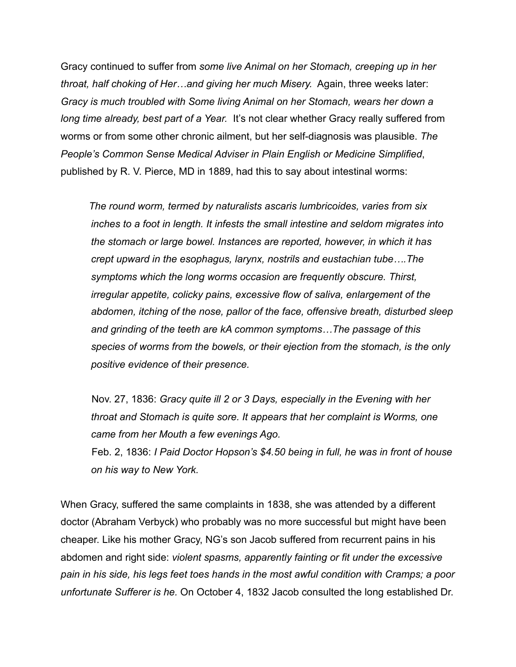Gracy continued to suffer from *some live Animal on her Stomach, creeping up in her throat, half choking of Her…and giving her much Misery.* Again, three weeks later: *Gracy is much troubled with Some living Animal on her Stomach, wears her down a*  long time already, best part of a Year. It's not clear whether Gracy really suffered from worms or from some other chronic ailment, but her self-diagnosis was plausible. *The People's Common Sense Medical Adviser in Plain English or Medicine Simplified*, published by R. V. Pierce, MD in 1889, had this to say about intestinal worms:

 *The round worm, termed by naturalists ascaris lumbricoides, varies from six inches to a foot in length. It infests the small intestine and seldom migrates into the stomach or large bowel. Instances are reported, however, in which it has crept upward in the esophagus, larynx, nostrils and eustachian tube….The symptoms which the long worms occasion are frequently obscure. Thirst, irregular appetite, colicky pains, excessive flow of saliva, enlargement of the abdomen, itching of the nose, pallor of the face, offensive breath, disturbed sleep and grinding of the teeth are kA common symptoms…The passage of this species of worms from the bowels, or their ejection from the stomach, is the only positive evidence of their presence.* 

 Nov. 27, 1836: *Gracy quite ill 2 or 3 Days, especially in the Evening with her throat and Stomach is quite sore. It appears that her complaint is Worms, one came from her Mouth a few evenings Ago.* Feb. 2, 1836: *I Paid Doctor Hopson's \$4.50 being in full, he was in front of house on his way to New York.* 

When Gracy, suffered the same complaints in 1838, she was attended by a different doctor (Abraham Verbyck) who probably was no more successful but might have been cheaper. Like his mother Gracy, NG's son Jacob suffered from recurrent pains in his abdomen and right side: *violent spasms, apparently fainting or fit under the excessive pain in his side, his legs feet toes hands in the most awful condition with Cramps; a poor unfortunate Sufferer is he.* On October 4, 1832 Jacob consulted the long established Dr.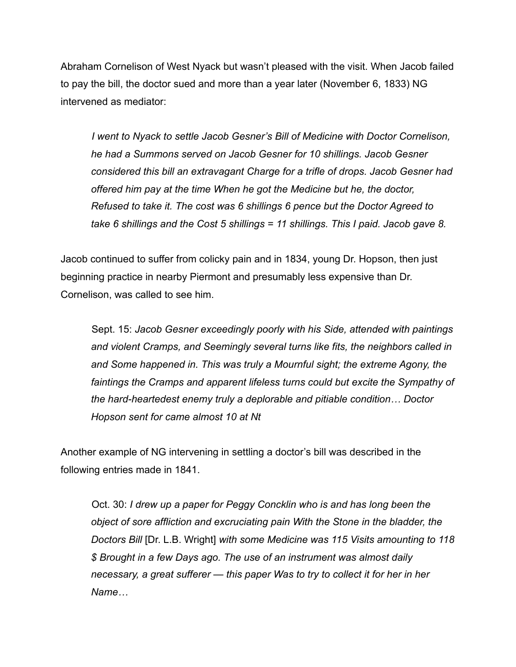Abraham Cornelison of West Nyack but wasn't pleased with the visit. When Jacob failed to pay the bill, the doctor sued and more than a year later (November 6, 1833) NG intervened as mediator:

 *I went to Nyack to settle Jacob Gesner's Bill of Medicine with Doctor Cornelison, he had a Summons served on Jacob Gesner for 10 shillings. Jacob Gesner considered this bill an extravagant Charge for a trifle of drops. Jacob Gesner had offered him pay at the time When he got the Medicine but he, the doctor, Refused to take it. The cost was 6 shillings 6 pence but the Doctor Agreed to take 6 shillings and the Cost 5 shillings = 11 shillings. This I paid. Jacob gave 8.* 

Jacob continued to suffer from colicky pain and in 1834, young Dr. Hopson, then just beginning practice in nearby Piermont and presumably less expensive than Dr. Cornelison, was called to see him.

 Sept. 15: *Jacob Gesner exceedingly poorly with his Side, attended with paintings and violent Cramps, and Seemingly several turns like fits, the neighbors called in*  and Some happened in. This was truly a Mournful sight; the extreme Agony, the faintings the Cramps and apparent lifeless turns could but excite the Sympathy of *the hard-heartedest enemy truly a deplorable and pitiable condition… Doctor Hopson sent for came almost 10 at Nt* 

Another example of NG intervening in settling a doctor's bill was described in the following entries made in 1841.

 Oct. 30: *I drew up a paper for Peggy Concklin who is and has long been the object of sore affliction and excruciating pain With the Stone in the bladder, the Doctors Bill* [Dr. L.B. Wright] *with some Medicine was 115 Visits amounting to 118 \$ Brought in a few Days ago. The use of an instrument was almost daily necessary, a great sufferer — this paper Was to try to collect it for her in her Name…*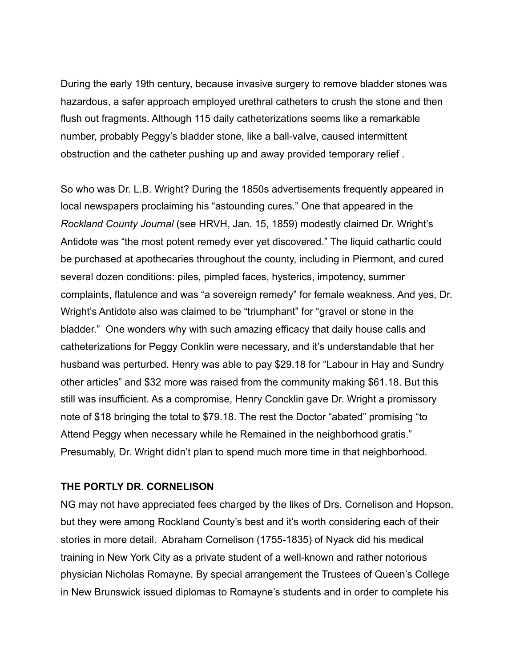During the early 19th century, because invasive surgery to remove bladder stones was hazardous, a safer approach employed urethral catheters to crush the stone and then flush out fragments. Although 115 daily catheterizations seems like a remarkable number, probably Peggy's bladder stone, like a ball-valve, caused intermittent obstruction and the catheter pushing up and away provided temporary relief .

So who was Dr. L.B. Wright? During the 1850s advertisements frequently appeared in local newspapers proclaiming his "astounding cures." One that appeared in the *Rockland County Journal* (see HRVH, Jan. 15, 1859) modestly claimed Dr. Wright's Antidote was "the most potent remedy ever yet discovered." The liquid cathartic could be purchased at apothecaries throughout the county, including in Piermont, and cured several dozen conditions: piles, pimpled faces, hysterics, impotency, summer complaints, flatulence and was "a sovereign remedy" for female weakness. And yes, Dr. Wright's Antidote also was claimed to be "triumphant" for "gravel or stone in the bladder." One wonders why with such amazing efficacy that daily house calls and catheterizations for Peggy Conklin were necessary, and it's understandable that her husband was perturbed. Henry was able to pay \$29.18 for "Labour in Hay and Sundry other articles" and \$32 more was raised from the community making \$61.18. But this still was insufficient. As a compromise, Henry Concklin gave Dr. Wright a promissory note of \$18 bringing the total to \$79.18. The rest the Doctor "abated" promising "to Attend Peggy when necessary while he Remained in the neighborhood gratis." Presumably, Dr. Wright didn't plan to spend much more time in that neighborhood.

#### **THE PORTLY DR. CORNELISON**

NG may not have appreciated fees charged by the likes of Drs. Cornelison and Hopson, but they were among Rockland County's best and it's worth considering each of their stories in more detail. Abraham Cornelison (1755-1835) of Nyack did his medical training in New York City as a private student of a well-known and rather notorious physician Nicholas Romayne. By special arrangement the Trustees of Queen's College in New Brunswick issued diplomas to Romayne's students and in order to complete his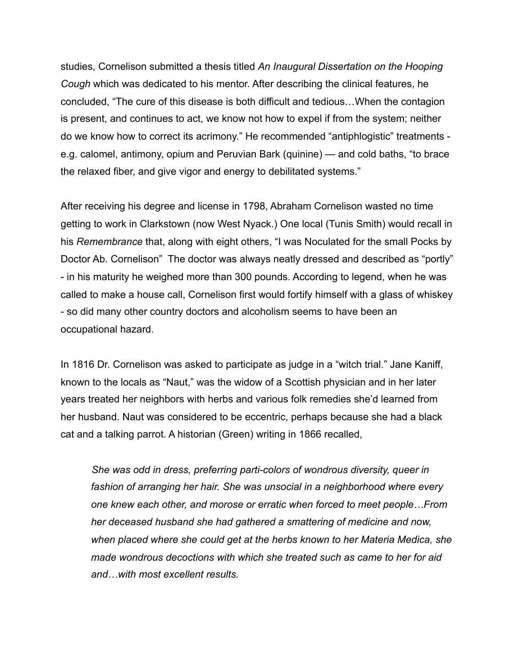studies, Cornelison submitted a thesis titled *An Inaugural Dissertation on the Hooping Cough* which was dedicated to his mentor. After describing the clinical features, he concluded, "The cure of this disease is both difficult and tedious…When the contagion is present, and continues to act, we know not how to expel if from the system; neither do we know how to correct its acrimony." He recommended "antiphlogistic" treatments e.g. calomel, antimony, opium and Peruvian Bark (quinine) — and cold baths, "to brace the relaxed fiber, and give vigor and energy to debilitated systems."

After receiving his degree and license in 1798, Abraham Cornelison wasted no time getting to work in Clarkstown (now West Nyack.) One local (Tunis Smith) would recall in his *Remembrance* that, along with eight others, "I was Noculated for the small Pocks by Doctor Ab. Cornelison" The doctor was always neatly dressed and described as "portly" - in his maturity he weighed more than 300 pounds. According to legend, when he was called to make a house call, Cornelison first would fortify himself with a glass of whiskey - so did many other country doctors and alcoholism seems to have been an occupational hazard.

In 1816 Dr. Cornelison was asked to participate as judge in a "witch trial." Jane Kaniff, known to the locals as "Naut," was the widow of a Scottish physician and in her later years treated her neighbors with herbs and various folk remedies she'd learned from her husband. Naut was considered to be eccentric, perhaps because she had a black cat and a talking parrot. A historian (Green) writing in 1866 recalled,

 *She was odd in dress, preferring parti-colors of wondrous diversity, queer in fashion of arranging her hair. She was unsocial in a neighborhood where every one knew each other, and morose or erratic when forced to meet people…From her deceased husband she had gathered a smattering of medicine and now, when placed where she could get at the herbs known to her Materia Medica, she made wondrous decoctions with which she treated such as came to her for aid and…with most excellent results.*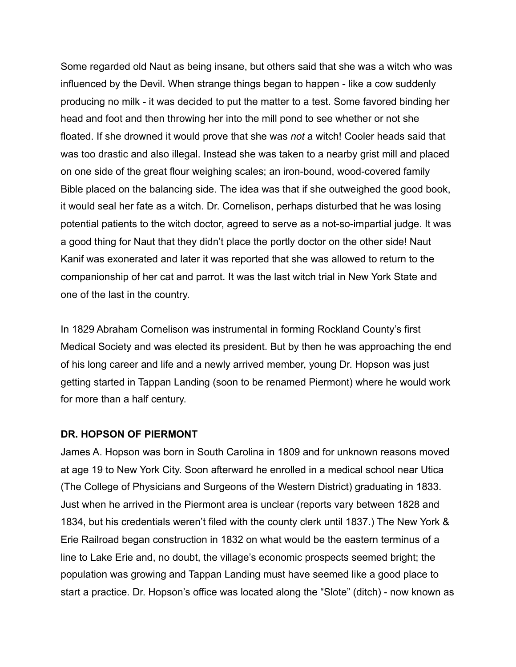Some regarded old Naut as being insane, but others said that she was a witch who was influenced by the Devil. When strange things began to happen - like a cow suddenly producing no milk - it was decided to put the matter to a test. Some favored binding her head and foot and then throwing her into the mill pond to see whether or not she floated. If she drowned it would prove that she was *not* a witch! Cooler heads said that was too drastic and also illegal. Instead she was taken to a nearby grist mill and placed on one side of the great flour weighing scales; an iron-bound, wood-covered family Bible placed on the balancing side. The idea was that if she outweighed the good book, it would seal her fate as a witch. Dr. Cornelison, perhaps disturbed that he was losing potential patients to the witch doctor, agreed to serve as a not-so-impartial judge. It was a good thing for Naut that they didn't place the portly doctor on the other side! Naut Kanif was exonerated and later it was reported that she was allowed to return to the companionship of her cat and parrot. It was the last witch trial in New York State and one of the last in the country.

In 1829 Abraham Cornelison was instrumental in forming Rockland County's first Medical Society and was elected its president. But by then he was approaching the end of his long career and life and a newly arrived member, young Dr. Hopson was just getting started in Tappan Landing (soon to be renamed Piermont) where he would work for more than a half century.

#### **DR. HOPSON OF PIERMONT**

James A. Hopson was born in South Carolina in 1809 and for unknown reasons moved at age 19 to New York City. Soon afterward he enrolled in a medical school near Utica (The College of Physicians and Surgeons of the Western District) graduating in 1833. Just when he arrived in the Piermont area is unclear (reports vary between 1828 and 1834, but his credentials weren't filed with the county clerk until 1837.) The New York & Erie Railroad began construction in 1832 on what would be the eastern terminus of a line to Lake Erie and, no doubt, the village's economic prospects seemed bright; the population was growing and Tappan Landing must have seemed like a good place to start a practice. Dr. Hopson's office was located along the "Slote" (ditch) - now known as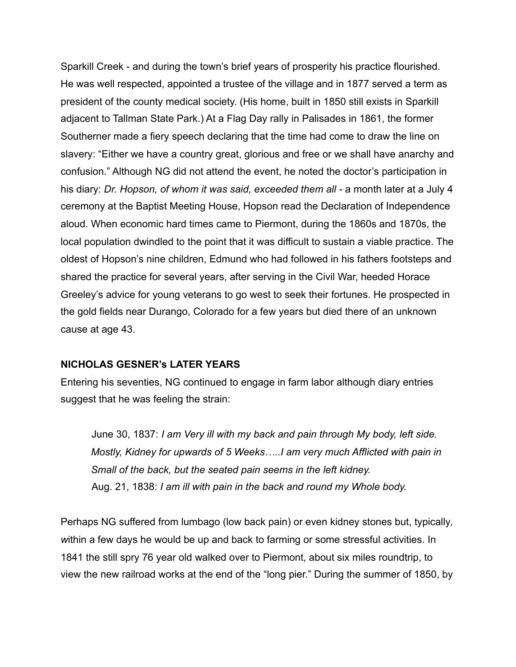Sparkill Creek - and during the town's brief years of prosperity his practice flourished. He was well respected, appointed a trustee of the village and in 1877 served a term as president of the county medical society. (His home, built in 1850 still exists in Sparkill adjacent to Tallman State Park.) At a Flag Day rally in Palisades in 1861, the former Southerner made a fiery speech declaring that the time had come to draw the line on slavery: "Either we have a country great, glorious and free or we shall have anarchy and confusion." Although NG did not attend the event, he noted the doctor's participation in his diary: *Dr. Hopson, of whom it was said, exceeded them all -* a month later at a July 4 ceremony at the Baptist Meeting House, Hopson read the Declaration of Independence aloud. When economic hard times came to Piermont, during the 1860s and 1870s, the local population dwindled to the point that it was difficult to sustain a viable practice. The oldest of Hopson's nine children, Edmund who had followed in his fathers footsteps and shared the practice for several years, after serving in the Civil War, heeded Horace Greeley's advice for young veterans to go west to seek their fortunes. He prospected in the gold fields near Durango, Colorado for a few years but died there of an unknown cause at age 43.

## **NICHOLAS GESNER's LATER YEARS**

Entering his seventies, NG continued to engage in farm labor although diary entries suggest that he was feeling the strain:

 June 30, 1837: *I am Very ill with my back and pain through My body, left side. Mostly, Kidney for upwards of 5 Weeks…..I am very much Afflicted with pain in Small of the back, but the seated pain seems in the left kidney.* Aug. 21, 1838: *I am ill with pain in the back and round my Whole body.* 

Perhaps NG suffered from lumbago (low back pain) or even kidney stones but, typically*, w*ithin a few days he would be up and back to farming or some stressful activities. In 1841 the still spry 76 year old walked over to Piermont, about six miles roundtrip, to view the new railroad works at the end of the "long pier." During the summer of 1850, by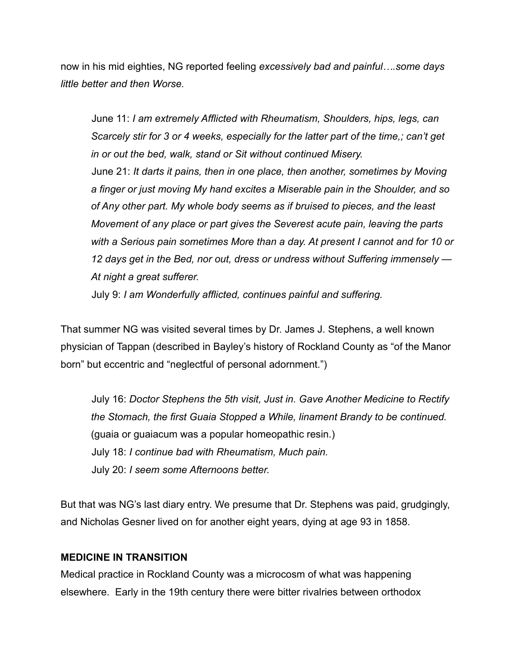now in his mid eighties, NG reported feeling *excessively bad and painful….some days little better and then Worse.* 

June 11: *I am extremely Afflicted with Rheumatism, Shoulders, hips, legs, can Scarcely stir for 3 or 4 weeks, especially for the latter part of the time,; can't get in or out the bed, walk, stand or Sit without continued Misery.* June 21: *It darts it pains, then in one place, then another, sometimes by Moving a finger or just moving My hand excites a Miserable pain in the Shoulder, and so of Any other part. My whole body seems as if bruised to pieces, and the least Movement of any place or part gives the Severest acute pain, leaving the parts with a Serious pain sometimes More than a day. At present I cannot and for 10 or 12 days get in the Bed, nor out, dress or undress without Suffering immensely — At night a great sufferer.* 

July 9: *I am Wonderfully afflicted, continues painful and suffering.* 

That summer NG was visited several times by Dr. James J. Stephens, a well known physician of Tappan (described in Bayley's history of Rockland County as "of the Manor born" but eccentric and "neglectful of personal adornment.")

 July 16: *Doctor Stephens the 5th visit, Just in. Gave Another Medicine to Rectify the Stomach, the first Guaia Stopped a While, linament Brandy to be continued.*  (guaia or guaiacum was a popular homeopathic resin.) July 18: *I continue bad with Rheumatism, Much pain.* July 20: *I seem some Afternoons better.* 

But that was NG's last diary entry. We presume that Dr. Stephens was paid, grudgingly, and Nicholas Gesner lived on for another eight years, dying at age 93 in 1858.

## **MEDICINE IN TRANSITION**

Medical practice in Rockland County was a microcosm of what was happening elsewhere. Early in the 19th century there were bitter rivalries between orthodox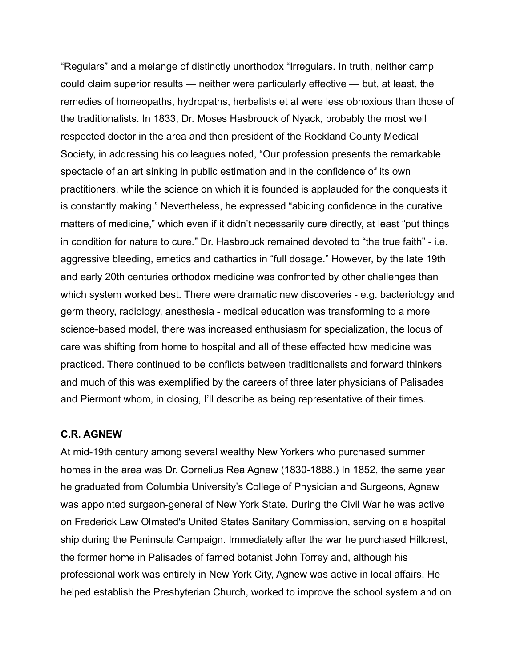"Regulars" and a melange of distinctly unorthodox "Irregulars. In truth, neither camp could claim superior results — neither were particularly effective — but, at least, the remedies of homeopaths, hydropaths, herbalists et al were less obnoxious than those of the traditionalists. In 1833, Dr. Moses Hasbrouck of Nyack, probably the most well respected doctor in the area and then president of the Rockland County Medical Society, in addressing his colleagues noted, "Our profession presents the remarkable spectacle of an art sinking in public estimation and in the confidence of its own practitioners, while the science on which it is founded is applauded for the conquests it is constantly making." Nevertheless, he expressed "abiding confidence in the curative matters of medicine," which even if it didn't necessarily cure directly, at least "put things in condition for nature to cure." Dr. Hasbrouck remained devoted to "the true faith" - i.e. aggressive bleeding, emetics and cathartics in "full dosage." However, by the late 19th and early 20th centuries orthodox medicine was confronted by other challenges than which system worked best. There were dramatic new discoveries - e.g. bacteriology and germ theory, radiology, anesthesia - medical education was transforming to a more science-based model, there was increased enthusiasm for specialization, the locus of care was shifting from home to hospital and all of these effected how medicine was practiced. There continued to be conflicts between traditionalists and forward thinkers and much of this was exemplified by the careers of three later physicians of Palisades and Piermont whom, in closing, I'll describe as being representative of their times.

#### **C.R. AGNEW**

At mid-19th century among several wealthy New Yorkers who purchased summer homes in the area was Dr. Cornelius Rea Agnew (1830-1888.) In 1852, the same year he graduated from Columbia University's College of Physician and Surgeons, Agnew was appointed surgeon-general of New York State. During the Civil War he was active on Frederick Law Olmsted's United States Sanitary Commission, serving on a hospital ship during the Peninsula Campaign. Immediately after the war he purchased Hillcrest, the former home in Palisades of famed botanist John Torrey and, although his professional work was entirely in New York City, Agnew was active in local affairs. He helped establish the Presbyterian Church, worked to improve the school system and on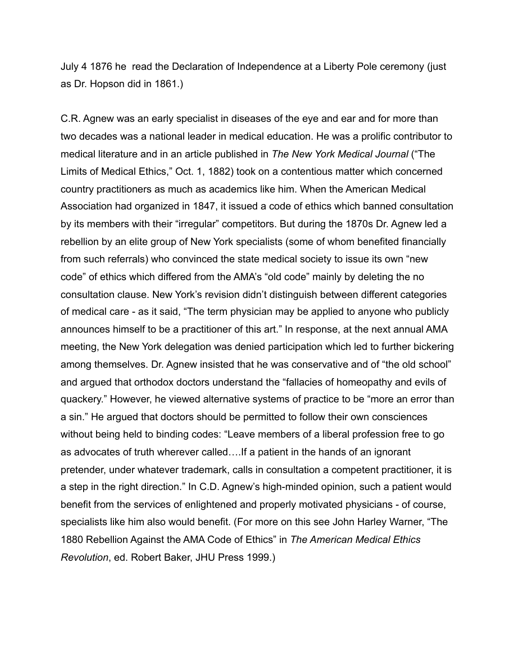July 4 1876 he read the Declaration of Independence at a Liberty Pole ceremony (just as Dr. Hopson did in 1861.)

C.R. Agnew was an early specialist in diseases of the eye and ear and for more than two decades was a national leader in medical education. He was a prolific contributor to medical literature and in an article published in *The New York Medical Journal* ("The Limits of Medical Ethics," Oct. 1, 1882) took on a contentious matter which concerned country practitioners as much as academics like him. When the American Medical Association had organized in 1847, it issued a code of ethics which banned consultation by its members with their "irregular" competitors. But during the 1870s Dr. Agnew led a rebellion by an elite group of New York specialists (some of whom benefited financially from such referrals) who convinced the state medical society to issue its own "new code" of ethics which differed from the AMA's "old code" mainly by deleting the no consultation clause. New York's revision didn't distinguish between different categories of medical care - as it said, "The term physician may be applied to anyone who publicly announces himself to be a practitioner of this art." In response, at the next annual AMA meeting, the New York delegation was denied participation which led to further bickering among themselves. Dr. Agnew insisted that he was conservative and of "the old school" and argued that orthodox doctors understand the "fallacies of homeopathy and evils of quackery." However, he viewed alternative systems of practice to be "more an error than a sin." He argued that doctors should be permitted to follow their own consciences without being held to binding codes: "Leave members of a liberal profession free to go as advocates of truth wherever called….If a patient in the hands of an ignorant pretender, under whatever trademark, calls in consultation a competent practitioner, it is a step in the right direction." In C.D. Agnew's high-minded opinion, such a patient would benefit from the services of enlightened and properly motivated physicians - of course, specialists like him also would benefit. (For more on this see John Harley Warner, "The 1880 Rebellion Against the AMA Code of Ethics" in *The American Medical Ethics Revolution*, ed. Robert Baker, JHU Press 1999.)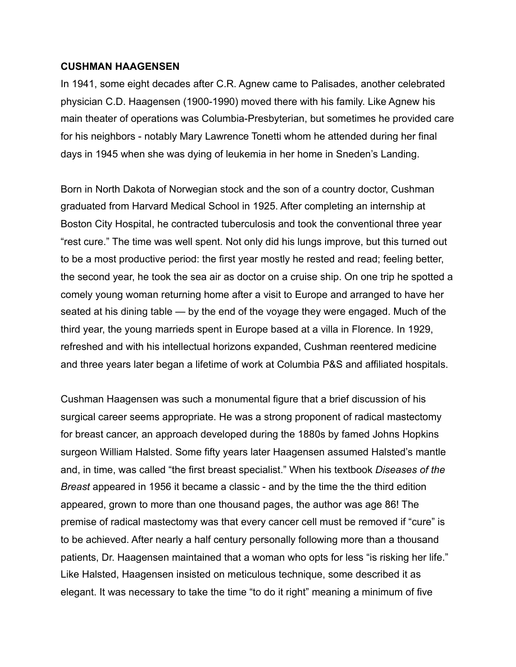#### **CUSHMAN HAAGENSEN**

In 1941, some eight decades after C.R. Agnew came to Palisades, another celebrated physician C.D. Haagensen (1900-1990) moved there with his family. Like Agnew his main theater of operations was Columbia-Presbyterian, but sometimes he provided care for his neighbors - notably Mary Lawrence Tonetti whom he attended during her final days in 1945 when she was dying of leukemia in her home in Sneden's Landing.

Born in North Dakota of Norwegian stock and the son of a country doctor, Cushman graduated from Harvard Medical School in 1925. After completing an internship at Boston City Hospital, he contracted tuberculosis and took the conventional three year "rest cure." The time was well spent. Not only did his lungs improve, but this turned out to be a most productive period: the first year mostly he rested and read; feeling better, the second year, he took the sea air as doctor on a cruise ship. On one trip he spotted a comely young woman returning home after a visit to Europe and arranged to have her seated at his dining table — by the end of the voyage they were engaged. Much of the third year, the young marrieds spent in Europe based at a villa in Florence. In 1929, refreshed and with his intellectual horizons expanded, Cushman reentered medicine and three years later began a lifetime of work at Columbia P&S and affiliated hospitals.

Cushman Haagensen was such a monumental figure that a brief discussion of his surgical career seems appropriate. He was a strong proponent of radical mastectomy for breast cancer, an approach developed during the 1880s by famed Johns Hopkins surgeon William Halsted. Some fifty years later Haagensen assumed Halsted's mantle and, in time, was called "the first breast specialist." When his textbook *Diseases of the Breast* appeared in 1956 it became a classic - and by the time the the third edition appeared, grown to more than one thousand pages, the author was age 86! The premise of radical mastectomy was that every cancer cell must be removed if "cure" is to be achieved. After nearly a half century personally following more than a thousand patients, Dr. Haagensen maintained that a woman who opts for less "is risking her life." Like Halsted, Haagensen insisted on meticulous technique, some described it as elegant. It was necessary to take the time "to do it right" meaning a minimum of five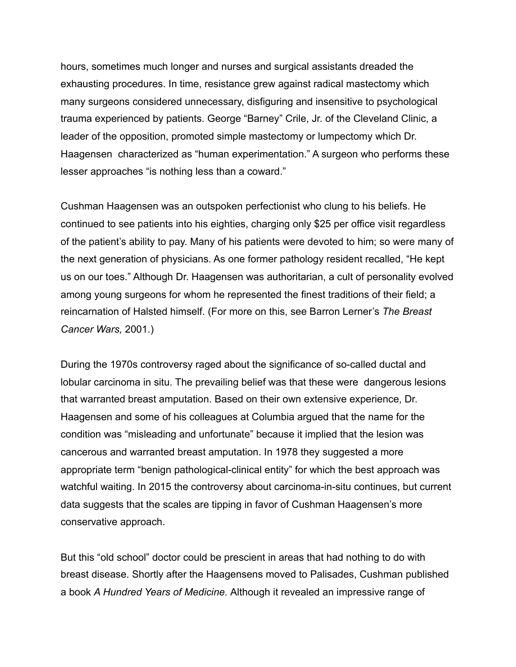hours, sometimes much longer and nurses and surgical assistants dreaded the exhausting procedures. In time, resistance grew against radical mastectomy which many surgeons considered unnecessary, disfiguring and insensitive to psychological trauma experienced by patients. George "Barney" Crile, Jr. of the Cleveland Clinic, a leader of the opposition, promoted simple mastectomy or lumpectomy which Dr. Haagensen characterized as "human experimentation." A surgeon who performs these lesser approaches "is nothing less than a coward."

Cushman Haagensen was an outspoken perfectionist who clung to his beliefs. He continued to see patients into his eighties, charging only \$25 per office visit regardless of the patient's ability to pay. Many of his patients were devoted to him; so were many of the next generation of physicians. As one former pathology resident recalled, "He kept us on our toes." Although Dr. Haagensen was authoritarian, a cult of personality evolved among young surgeons for whom he represented the finest traditions of their field; a reincarnation of Halsted himself. (For more on this, see Barron Lerner's *The Breast Cancer Wars,* 2001.)

During the 1970s controversy raged about the significance of so-called ductal and lobular carcinoma in situ. The prevailing belief was that these were dangerous lesions that warranted breast amputation. Based on their own extensive experience, Dr. Haagensen and some of his colleagues at Columbia argued that the name for the condition was "misleading and unfortunate" because it implied that the lesion was cancerous and warranted breast amputation. In 1978 they suggested a more appropriate term "benign pathological-clinical entity" for which the best approach was watchful waiting. In 2015 the controversy about carcinoma-in-situ continues, but current data suggests that the scales are tipping in favor of Cushman Haagensen's more conservative approach.

But this "old school" doctor could be prescient in areas that had nothing to do with breast disease. Shortly after the Haagensens moved to Palisades, Cushman published a book *A Hundred Years of Medicine.* Although it revealed an impressive range of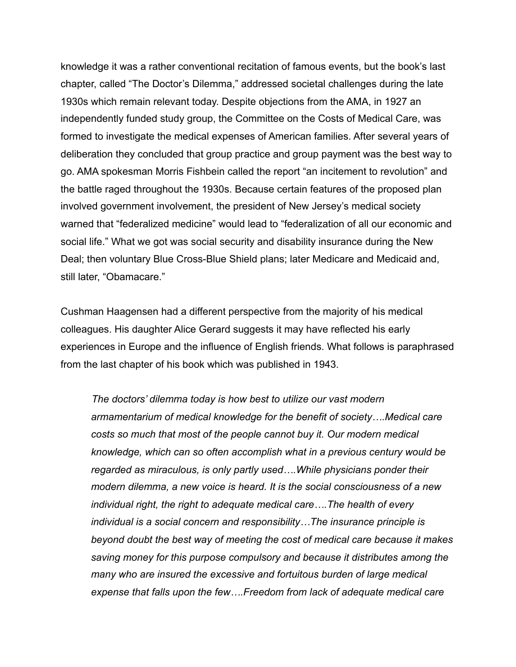knowledge it was a rather conventional recitation of famous events, but the book's last chapter, called "The Doctor's Dilemma," addressed societal challenges during the late 1930s which remain relevant today. Despite objections from the AMA, in 1927 an independently funded study group, the Committee on the Costs of Medical Care, was formed to investigate the medical expenses of American families. After several years of deliberation they concluded that group practice and group payment was the best way to go. AMA spokesman Morris Fishbein called the report "an incitement to revolution" and the battle raged throughout the 1930s. Because certain features of the proposed plan involved government involvement, the president of New Jersey's medical society warned that "federalized medicine" would lead to "federalization of all our economic and social life." What we got was social security and disability insurance during the New Deal; then voluntary Blue Cross-Blue Shield plans; later Medicare and Medicaid and, still later, "Obamacare."

Cushman Haagensen had a different perspective from the majority of his medical colleagues. His daughter Alice Gerard suggests it may have reflected his early experiences in Europe and the influence of English friends. What follows is paraphrased from the last chapter of his book which was published in 1943.

 *The doctors' dilemma today is how best to utilize our vast modern armamentarium of medical knowledge for the benefit of society….Medical care costs so much that most of the people cannot buy it. Our modern medical knowledge, which can so often accomplish what in a previous century would be regarded as miraculous, is only partly used….While physicians ponder their modern dilemma, a new voice is heard. It is the social consciousness of a new individual right, the right to adequate medical care….The health of every individual is a social concern and responsibility…The insurance principle is beyond doubt the best way of meeting the cost of medical care because it makes saving money for this purpose compulsory and because it distributes among the many who are insured the excessive and fortuitous burden of large medical expense that falls upon the few….Freedom from lack of adequate medical care*